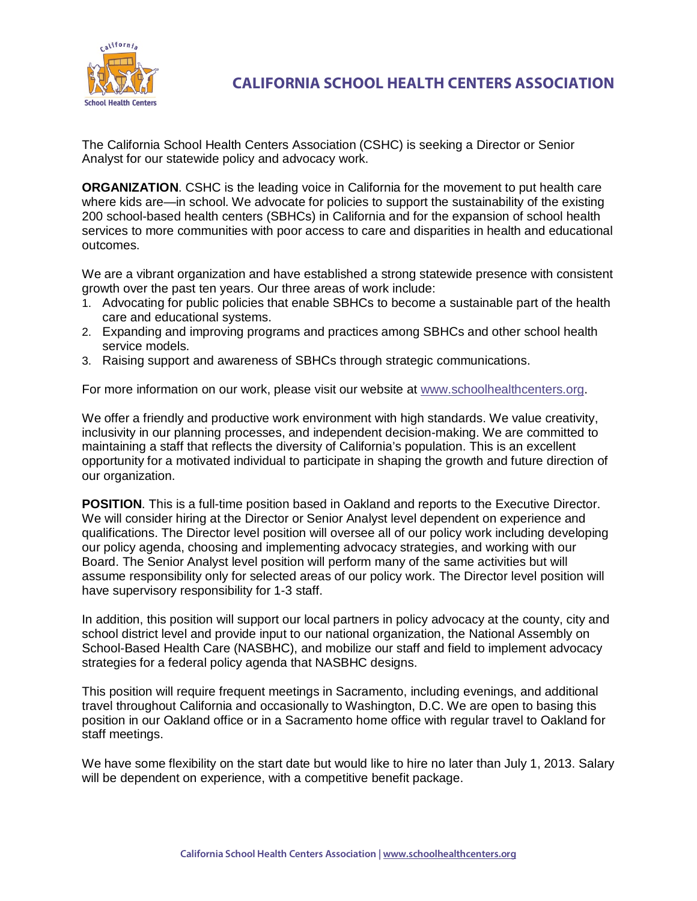

**CALIFORNIA SCHOOL HEALTH CENTERS ASSOCIATION**

The California School Health Centers Association (CSHC) is seeking a Director or Senior Analyst for our statewide policy and advocacy work.

**ORGANIZATION**. CSHC is the leading voice in California for the movement to put health care where kids are—in school. We advocate for policies to support the sustainability of the existing 200 school-based health centers (SBHCs) in California and for the expansion of school health services to more communities with poor access to care and disparities in health and educational outcomes.

We are a vibrant organization and have established a strong statewide presence with consistent growth over the past ten years. Our three areas of work include:

- 1. Advocating for public policies that enable SBHCs to become a sustainable part of the health care and educational systems.
- 2. Expanding and improving programs and practices among SBHCs and other school health service models.
- 3. Raising support and awareness of SBHCs through strategic communications.

For more information on our work, please visit our website at [www.schoolhealthcenters.org.](http://www.schoolhealthcenters.org/)

We offer a friendly and productive work environment with high standards. We value creativity, inclusivity in our planning processes, and independent decision-making. We are committed to maintaining a staff that reflects the diversity of California's population. This is an excellent opportunity for a motivated individual to participate in shaping the growth and future direction of our organization.

**POSITION**. This is a full-time position based in Oakland and reports to the Executive Director. We will consider hiring at the Director or Senior Analyst level dependent on experience and qualifications. The Director level position will oversee all of our policy work including developing our policy agenda, choosing and implementing advocacy strategies, and working with our Board. The Senior Analyst level position will perform many of the same activities but will assume responsibility only for selected areas of our policy work. The Director level position will have supervisory responsibility for 1-3 staff.

In addition, this position will support our local partners in policy advocacy at the county, city and school district level and provide input to our national organization, the National Assembly on School-Based Health Care (NASBHC), and mobilize our staff and field to implement advocacy strategies for a federal policy agenda that NASBHC designs.

This position will require frequent meetings in Sacramento, including evenings, and additional travel throughout California and occasionally to Washington, D.C. We are open to basing this position in our Oakland office or in a Sacramento home office with regular travel to Oakland for staff meetings.

We have some flexibility on the start date but would like to hire no later than July 1, 2013. Salary will be dependent on experience, with a competitive benefit package.